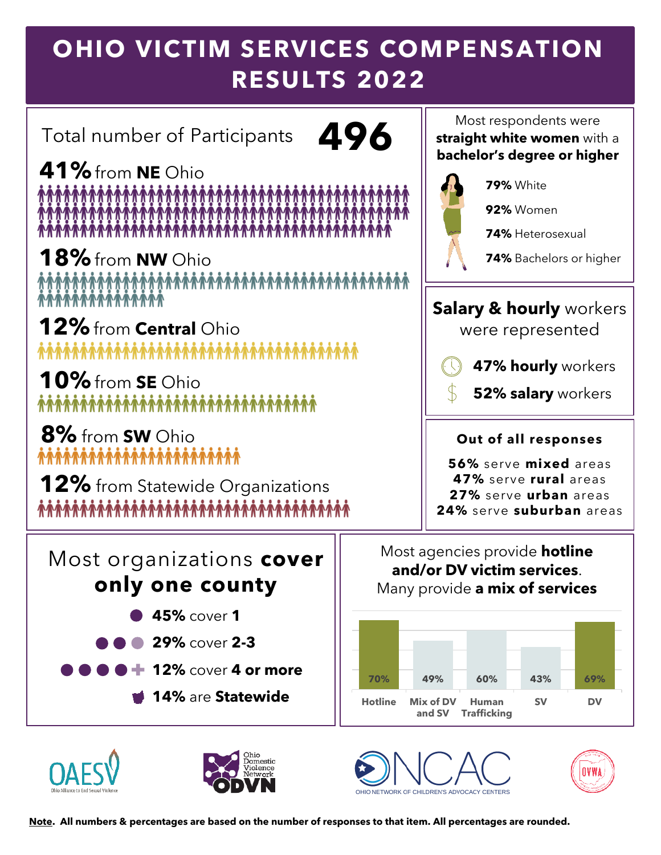# **OHIO VICTIM SERVICES COMPENSATION RESULTS 2022**

Total number of Participants **496**

**41%**from **NE** Ohio 

18% from **NW** Ohio<br>*MAMMAMMAMMAMMAMMAMMAMMAMMAMMA*M

**12%**from **Central** Ohio **ለገለግጥ በተለያየ የተሰጠ በተለያየ በተለያየ በ** 

**10%**from **SE** Ohio <u> \*\*\*\*\*\*\*\*\*\*\*\*\*\*\*\*\*\*\*\*\*\*\*\*\*\*\*\*\*\*\*\*</u>

**8%** from **SW** Ohio 

**12%** from Statewide Organizations 

Most respondents were **straight white women** with a **bachelor's degree or higher**



**79%** White

**92%** Women

**74%** Heterosexual

**74%** Bachelors or higher

### **Salary & hourly** workers

were represented



**52% salary** workers

#### **Out of all responses**

**56%** serve **mixed** areas **47%** serve **rural** areas **27%** serve **urban** areas **24%** serve **suburban** areas

Most organizations **cover only one county**

- **45%** cover **1**
- **29%** cover **2-3**
- **12%** cover **4 or more**
	- **14%** are **Statewide**



Most agencies provide **hotline and/or DV victim services**. Many provide **a mix of services**







**Note. All numbers & percentages are based on the number of responses to that item. All percentages are rounded.**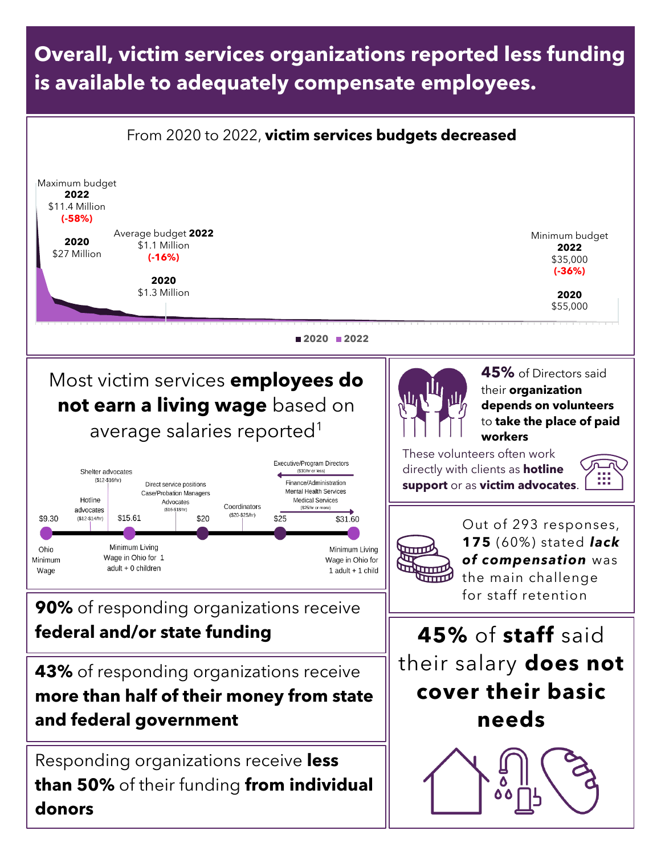### **Overall, victim services organizations reported less funding is available to adequately compensate employees.**